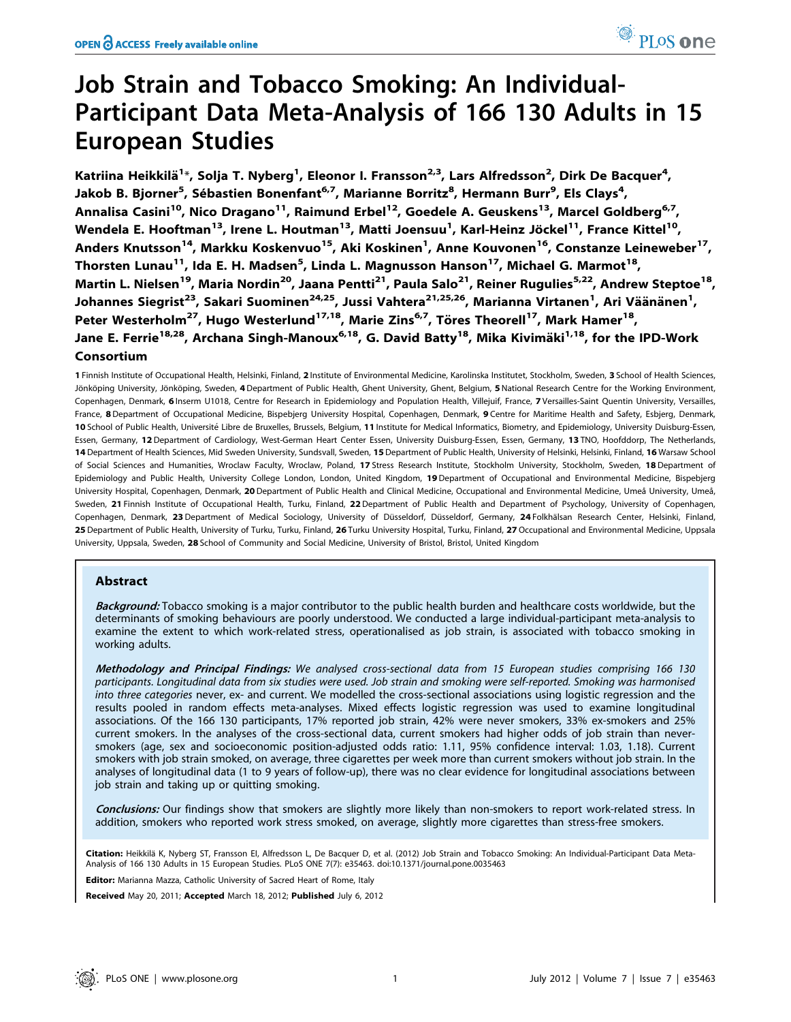# Job Strain and Tobacco Smoking: An Individual-Participant Data Meta-Analysis of 166 130 Adults in 15 European Studies

Katriina Heikkilä<sup>1</sup>\*, Solja T. Nyberg<sup>1</sup>, Eleonor I. Fransson<sup>2,3</sup>, Lars Alfredsson<sup>2</sup>, Dirk De Bacquer<sup>4</sup>, Jakob B. Bjorner<sup>5</sup>, Sébastien Bonenfant<sup>6,7</sup>, Marianne Borritz<sup>8</sup>, Hermann Burr<sup>9</sup>, Els Clays<sup>4</sup>, Annalisa Casini<sup>10</sup>, Nico Dragano<sup>11</sup>, Raimund Erbel<sup>12</sup>, Goedele A. Geuskens<sup>13</sup>, Marcel Goldberg<sup>6,7</sup>, Wendela E. Hooftman<sup>13</sup>, Irene L. Houtman<sup>13</sup>, Matti Joensuu<sup>1</sup>, Karl-Heinz Jöckel<sup>11</sup>, France Kittel<sup>10</sup>, Anders Knutsson<sup>14</sup>, Markku Koskenvuo<sup>15</sup>, Aki Koskinen<sup>1</sup>, Anne Kouvonen<sup>16</sup>, Constanze Leineweber<sup>17</sup>, Thorsten Lunau<sup>11</sup>, Ida E. H. Madsen<sup>5</sup>, Linda L. Magnusson Hanson<sup>17</sup>, Michael G. Marmot<sup>18</sup>, Martin L. Nielsen<sup>19</sup>, Maria Nordin<sup>20</sup>, Jaana Pentti<sup>21</sup>, Paula Salo<sup>21</sup>, Reiner Rugulies<sup>5,22</sup>, Andrew Steptoe<sup>18</sup>, Johannes Siegrist<sup>23</sup>, Sakari Suominen<sup>24,25</sup>, Jussi Vahtera<sup>21,25,26</sup>, Marianna Virtanen<sup>1</sup>, Ari Väänänen<sup>1</sup>, Peter Westerholm<sup>27</sup>, Hugo Westerlund<sup>17,18</sup>, Marie Zins<sup>6,7</sup>, Töres Theorell<sup>17</sup>, Mark Hamer<sup>18</sup>, Jane E. Ferrie<sup>18,28</sup>, Archana Singh-Manoux<sup>6,18</sup>, G. David Batty<sup>18</sup>, Mika Kivimäki<sup>1,18</sup>, for the IPD-Work Consortium

1 Finnish Institute of Occupational Health, Helsinki, Finland, 2 Institute of Environmental Medicine, Karolinska Institutet, Stockholm, Sweden, 3 School of Health Sciences, Jönköping University, Jönköping, Sweden, 4 Department of Public Health, Ghent University, Ghent, Belgium, 5 National Research Centre for the Working Environment, Copenhagen, Denmark, 6 Inserm U1018, Centre for Research in Epidemiology and Population Health, Villejuif, France, 7 Versailles-Saint Quentin University, Versailles, France, 8 Department of Occupational Medicine, Bispebjerg University Hospital, Copenhagen, Denmark, 9 Centre for Maritime Health and Safety, Esbjerg, Denmark, 10 School of Public Health, Université Libre de Bruxelles, Brussels, Belgium, 11 Institute for Medical Informatics, Biometry, and Epidemiology, University Duisburg-Essen, Essen, Germany, 12 Department of Cardiology, West-German Heart Center Essen, University Duisburg-Essen, Essen, Germany, 13 TNO, Hoofddorp, The Netherlands, 14 Department of Health Sciences, Mid Sweden University, Sundsvall, Sweden, 15 Department of Public Health, University of Helsinki, Helsinki, Finland, 16 Warsaw School of Social Sciences and Humanities, Wroclaw Faculty, Wroclaw, Poland, 17 Stress Research Institute, Stockholm University, Stockholm, Sweden, 18 Department of Epidemiology and Public Health, University College London, London, United Kingdom, 19 Department of Occupational and Environmental Medicine, Bispebjerg University Hospital, Copenhagen, Denmark, 20 Department of Public Health and Clinical Medicine, Occupational and Environmental Medicine, Umeå University, Umeå, Sweden, 21 Finnish Institute of Occupational Health, Turku, Finland, 22 Department of Public Health and Department of Psychology, University of Copenhagen, Copenhagen, Denmark, 23 Department of Medical Sociology, University of Düsseldorf, Düsseldorf, Germany, 24 Folkhälsan Research Center, Helsinki, Finland, 25 Department of Public Health, University of Turku, Turku, Finland, 26 Turku University Hospital, Turku, Finland, 27 Occupational and Environmental Medicine, Uppsala University, Uppsala, Sweden, 28 School of Community and Social Medicine, University of Bristol, Bristol, United Kingdom

# Abstract

Background: Tobacco smoking is a major contributor to the public health burden and healthcare costs worldwide, but the determinants of smoking behaviours are poorly understood. We conducted a large individual-participant meta-analysis to examine the extent to which work-related stress, operationalised as job strain, is associated with tobacco smoking in working adults.

Methodology and Principal Findings: We analysed cross-sectional data from 15 European studies comprising 166 130 participants. Longitudinal data from six studies were used. Job strain and smoking were self-reported. Smoking was harmonised into three categories never, ex- and current. We modelled the cross-sectional associations using logistic regression and the results pooled in random effects meta-analyses. Mixed effects logistic regression was used to examine longitudinal associations. Of the 166 130 participants, 17% reported job strain, 42% were never smokers, 33% ex-smokers and 25% current smokers. In the analyses of the cross-sectional data, current smokers had higher odds of job strain than neversmokers (age, sex and socioeconomic position-adjusted odds ratio: 1.11, 95% confidence interval: 1.03, 1.18). Current smokers with job strain smoked, on average, three cigarettes per week more than current smokers without job strain. In the analyses of longitudinal data (1 to 9 years of follow-up), there was no clear evidence for longitudinal associations between job strain and taking up or quitting smoking.

Conclusions: Our findings show that smokers are slightly more likely than non-smokers to report work-related stress. In addition, smokers who reported work stress smoked, on average, slightly more cigarettes than stress-free smokers.

Citation: Heikkilä K, Nyberg ST, Fransson El, Alfredsson L, De Bacquer D, et al. (2012) Job Strain and Tobacco Smoking: An Individual-Participant Data Meta-Analysis of 166 130 Adults in 15 European Studies. PLoS ONE 7(7): e35463. doi:10.1371/journal.pone.0035463

Editor: Marianna Mazza, Catholic University of Sacred Heart of Rome, Italy

Received May 20, 2011; Accepted March 18, 2012; Published July 6, 2012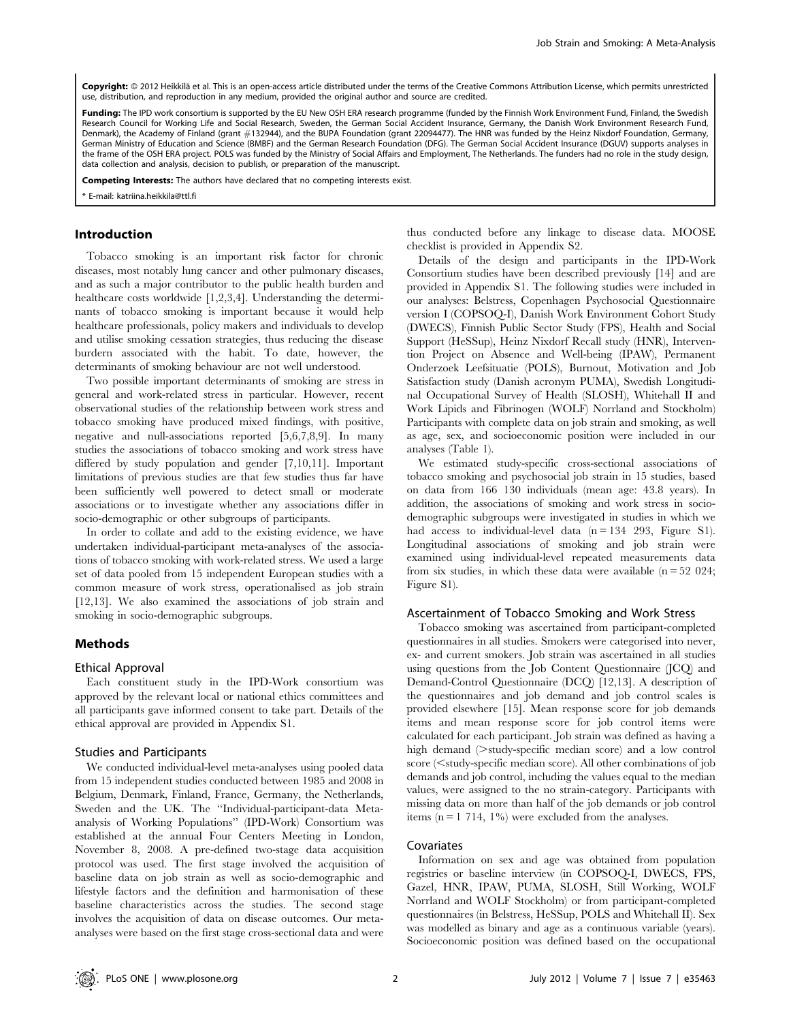Copyright: © 2012 Heikkilä et al. This is an open-access article distributed under the terms of the Creative Commons Attribution License, which permits unrestricted use, distribution, and reproduction in any medium, provided the original author and source are credited.

Funding: The IPD work consortium is supported by the EU New OSH ERA research programme (funded by the Finnish Work Environment Fund, Finland, the Swedish Research Council for Working Life and Social Research, Sweden, the German Social Accident Insurance, Germany, the Danish Work Environment Research Fund, Denmark), the Academy of Finland (grant #132944), and the BUPA Foundation (grant 22094477). The HNR was funded by the Heinz Nixdorf Foundation, Germany, German Ministry of Education and Science (BMBF) and the German Research Foundation (DFG). The German Social Accident Insurance (DGUV) supports analyses in the frame of the OSH ERA project. POLS was funded by the Ministry of Social Affairs and Employment, The Netherlands. The funders had no role in the study design, data collection and analysis, decision to publish, or preparation of the manuscript.

Competing Interests: The authors have declared that no competing interests exist.

\* E-mail: katriina.heikkila@ttl.fi

## Introduction

Tobacco smoking is an important risk factor for chronic diseases, most notably lung cancer and other pulmonary diseases, and as such a major contributor to the public health burden and healthcare costs worldwide [1,2,3,4]. Understanding the determinants of tobacco smoking is important because it would help healthcare professionals, policy makers and individuals to develop and utilise smoking cessation strategies, thus reducing the disease burdern associated with the habit. To date, however, the determinants of smoking behaviour are not well understood.

Two possible important determinants of smoking are stress in general and work-related stress in particular. However, recent observational studies of the relationship between work stress and tobacco smoking have produced mixed findings, with positive, negative and null-associations reported [5,6,7,8,9]. In many studies the associations of tobacco smoking and work stress have differed by study population and gender [7,10,11]. Important limitations of previous studies are that few studies thus far have been sufficiently well powered to detect small or moderate associations or to investigate whether any associations differ in socio-demographic or other subgroups of participants.

In order to collate and add to the existing evidence, we have undertaken individual-participant meta-analyses of the associations of tobacco smoking with work-related stress. We used a large set of data pooled from 15 independent European studies with a common measure of work stress, operationalised as job strain [12,13]. We also examined the associations of job strain and smoking in socio-demographic subgroups.

# Methods

## Ethical Approval

Each constituent study in the IPD-Work consortium was approved by the relevant local or national ethics committees and all participants gave informed consent to take part. Details of the ethical approval are provided in Appendix S1.

## Studies and Participants

We conducted individual-level meta-analyses using pooled data from 15 independent studies conducted between 1985 and 2008 in Belgium, Denmark, Finland, France, Germany, the Netherlands, Sweden and the UK. The ''Individual-participant-data Metaanalysis of Working Populations'' (IPD-Work) Consortium was established at the annual Four Centers Meeting in London, November 8, 2008. A pre-defined two-stage data acquisition protocol was used. The first stage involved the acquisition of baseline data on job strain as well as socio-demographic and lifestyle factors and the definition and harmonisation of these baseline characteristics across the studies. The second stage involves the acquisition of data on disease outcomes. Our metaanalyses were based on the first stage cross-sectional data and were

thus conducted before any linkage to disease data. MOOSE checklist is provided in Appendix S2.

Details of the design and participants in the IPD-Work Consortium studies have been described previously [14] and are provided in Appendix S1. The following studies were included in our analyses: Belstress, Copenhagen Psychosocial Questionnaire version I (COPSOQ-I), Danish Work Environment Cohort Study (DWECS), Finnish Public Sector Study (FPS), Health and Social Support (HeSSup), Heinz Nixdorf Recall study (HNR), Intervention Project on Absence and Well-being (IPAW), Permanent Onderzoek Leefsituatie (POLS), Burnout, Motivation and Job Satisfaction study (Danish acronym PUMA), Swedish Longitudinal Occupational Survey of Health (SLOSH), Whitehall II and Work Lipids and Fibrinogen (WOLF) Norrland and Stockholm) Participants with complete data on job strain and smoking, as well as age, sex, and socioeconomic position were included in our analyses (Table 1).

We estimated study-specific cross-sectional associations of tobacco smoking and psychosocial job strain in 15 studies, based on data from 166 130 individuals (mean age: 43.8 years). In addition, the associations of smoking and work stress in sociodemographic subgroups were investigated in studies in which we had access to individual-level data  $(n = 134, 293,$  Figure S1). Longitudinal associations of smoking and job strain were examined using individual-level repeated measurements data from six studies, in which these data were available  $(n = 52 \ 024)$ ; Figure S1).

## Ascertainment of Tobacco Smoking and Work Stress

Tobacco smoking was ascertained from participant-completed questionnaires in all studies. Smokers were categorised into never, ex- and current smokers. Job strain was ascertained in all studies using questions from the Job Content Questionnaire (JCQ) and Demand-Control Questionnaire (DCQ) [12,13]. A description of the questionnaires and job demand and job control scales is provided elsewhere [15]. Mean response score for job demands items and mean response score for job control items were calculated for each participant. Job strain was defined as having a high demand  $($ >study-specific median score) and a low control  $\text{score}$  ( $\leq$ study-specific median score). All other combinations of job demands and job control, including the values equal to the median values, were assigned to the no strain-category. Participants with missing data on more than half of the job demands or job control items  $(n = 1 714, 1\%)$  were excluded from the analyses.

## Covariates

Information on sex and age was obtained from population registries or baseline interview (in COPSOQ-I, DWECS, FPS, Gazel, HNR, IPAW, PUMA, SLOSH, Still Working, WOLF Norrland and WOLF Stockholm) or from participant-completed questionnaires (in Belstress, HeSSup, POLS and Whitehall II). Sex was modelled as binary and age as a continuous variable (years). Socioeconomic position was defined based on the occupational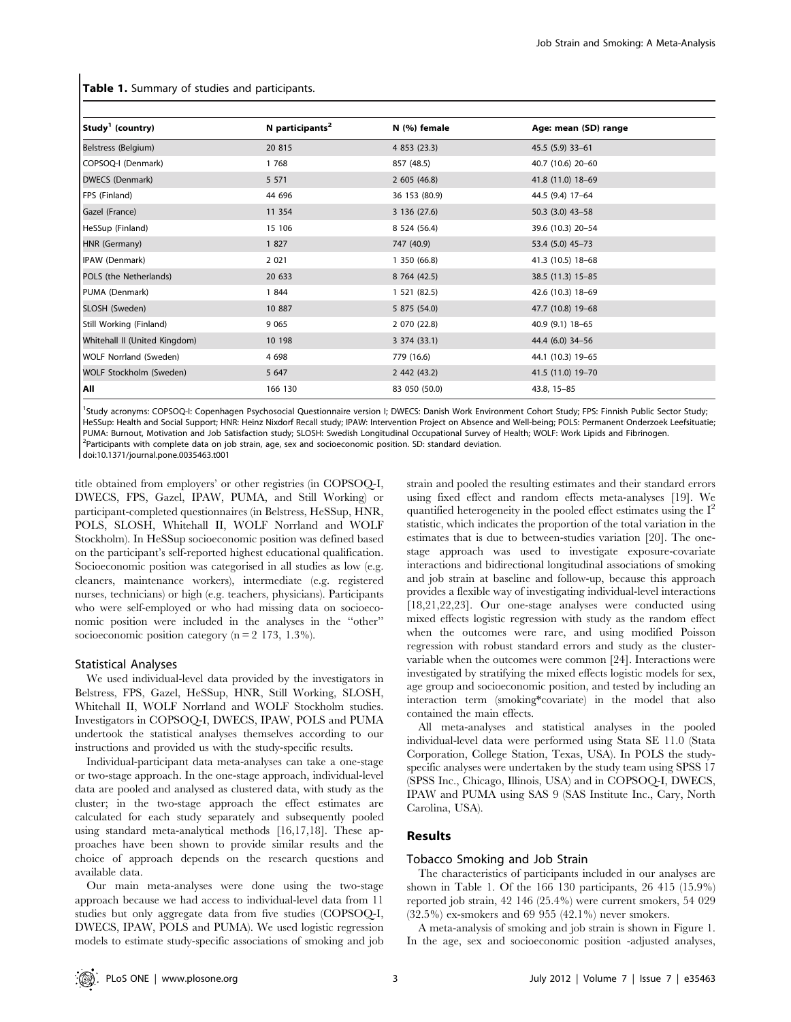Table 1. Summary of studies and participants.

| Study <sup>1</sup> (country)  | N participants <sup>2</sup> | N (%) female  | Age: mean (SD) range |  |
|-------------------------------|-----------------------------|---------------|----------------------|--|
| Belstress (Belgium)           | 20 815                      | 4 853 (23.3)  | 45.5 (5.9) 33-61     |  |
| COPSOQ-I (Denmark)            | 1768                        | 857 (48.5)    | 40.7 (10.6) 20-60    |  |
| DWECS (Denmark)               | 5 5 7 1                     | 2605(46.8)    | 41.8 (11.0) 18-69    |  |
| FPS (Finland)                 | 44 696                      | 36 153 (80.9) | 44.5 (9.4) 17-64     |  |
| Gazel (France)                | 11 354                      | 3 136 (27.6)  | 50.3 (3.0) 43-58     |  |
| HeSSup (Finland)              | 15 106                      | 8 524 (56.4)  | 39.6 (10.3) 20-54    |  |
| HNR (Germany)                 | 1827                        | 747 (40.9)    | 53.4 (5.0) 45-73     |  |
| IPAW (Denmark)                | 2 0 2 1                     | 1 350 (66.8)  | 41.3 (10.5) 18-68    |  |
| POLS (the Netherlands)        | 20 633                      | 8 764 (42.5)  | 38.5 (11.3) 15-85    |  |
| PUMA (Denmark)                | 1844                        | 1 521 (82.5)  | 42.6 (10.3) 18-69    |  |
| SLOSH (Sweden)                | 10 887                      | 5 875 (54.0)  | 47.7 (10.8) 19-68    |  |
| Still Working (Finland)       | 9 0 65                      | 2 070 (22.8)  | 40.9 (9.1) 18-65     |  |
| Whitehall II (United Kingdom) | 10 198                      | 3 374 (33.1)  | 44.4 (6.0) 34-56     |  |
| <b>WOLF Norrland (Sweden)</b> | 4 6 9 8                     | 779 (16.6)    | 44.1 (10.3) 19-65    |  |
| WOLF Stockholm (Sweden)       | 5 6 4 7                     | 2 442 (43.2)  | 41.5 (11.0) 19-70    |  |
| All                           | 166 130                     | 83 050 (50.0) | 43.8, 15-85          |  |

<sup>1</sup>Study acronyms: COPSOQ-I: Copenhagen Psychosocial Questionnaire version I; DWECS: Danish Work Environment Cohort Study; FPS: Finnish Public Sector Study; HeSSup: Health and Social Support; HNR: Heinz Nixdorf Recall study; IPAW: Intervention Project on Absence and Well-being; POLS: Permanent Onderzoek Leefsituatie; PUMA: Burnout, Motivation and Job Satisfaction study; SLOSH: Swedish Longitudinal Occupational Survey of Health; WOLF: Work Lipids and Fibrinogen. <sup>2</sup> <sup>2</sup>Participants with complete data on job strain, age, sex and socioeconomic position. SD: standard deviation.

doi:10.1371/journal.pone.0035463.t001

title obtained from employers' or other registries (in COPSOQ-I, DWECS, FPS, Gazel, IPAW, PUMA, and Still Working) or participant-completed questionnaires (in Belstress, HeSSup, HNR, POLS, SLOSH, Whitehall II, WOLF Norrland and WOLF Stockholm). In HeSSup socioeconomic position was defined based on the participant's self-reported highest educational qualification. Socioeconomic position was categorised in all studies as low (e.g. cleaners, maintenance workers), intermediate (e.g. registered nurses, technicians) or high (e.g. teachers, physicians). Participants who were self-employed or who had missing data on socioeconomic position were included in the analyses in the ''other'' socioeconomic position category ( $n = 2$  173, 1.3%).

#### Statistical Analyses

We used individual-level data provided by the investigators in Belstress, FPS, Gazel, HeSSup, HNR, Still Working, SLOSH, Whitehall II, WOLF Norrland and WOLF Stockholm studies. Investigators in COPSOQ-I, DWECS, IPAW, POLS and PUMA undertook the statistical analyses themselves according to our instructions and provided us with the study-specific results.

Individual-participant data meta-analyses can take a one-stage or two-stage approach. In the one-stage approach, individual-level data are pooled and analysed as clustered data, with study as the cluster; in the two-stage approach the effect estimates are calculated for each study separately and subsequently pooled using standard meta-analytical methods [16,17,18]. These approaches have been shown to provide similar results and the choice of approach depends on the research questions and available data.

Our main meta-analyses were done using the two-stage approach because we had access to individual-level data from 11 studies but only aggregate data from five studies (COPSOQ-I, DWECS, IPAW, POLS and PUMA). We used logistic regression models to estimate study-specific associations of smoking and job

strain and pooled the resulting estimates and their standard errors using fixed effect and random effects meta-analyses [19]. We quantified heterogeneity in the pooled effect estimates using the  $I^2$ statistic, which indicates the proportion of the total variation in the estimates that is due to between-studies variation [20]. The onestage approach was used to investigate exposure-covariate interactions and bidirectional longitudinal associations of smoking and job strain at baseline and follow-up, because this approach provides a flexible way of investigating individual-level interactions [18,21,22,23]. Our one-stage analyses were conducted using mixed effects logistic regression with study as the random effect when the outcomes were rare, and using modified Poisson regression with robust standard errors and study as the clustervariable when the outcomes were common [24]. Interactions were investigated by stratifying the mixed effects logistic models for sex, age group and socioeconomic position, and tested by including an interaction term (smoking\*covariate) in the model that also contained the main effects.

All meta-analyses and statistical analyses in the pooled individual-level data were performed using Stata SE 11.0 (Stata Corporation, College Station, Texas, USA). In POLS the studyspecific analyses were undertaken by the study team using SPSS 17 (SPSS Inc., Chicago, Illinois, USA) and in COPSOQ-I, DWECS, IPAW and PUMA using SAS 9 (SAS Institute Inc., Cary, North Carolina, USA).

# Results

## Tobacco Smoking and Job Strain

The characteristics of participants included in our analyses are shown in Table 1. Of the 166 130 participants, 26 415 (15.9%) reported job strain, 42 146 (25.4%) were current smokers, 54 029 (32.5%) ex-smokers and 69 955 (42.1%) never smokers.

A meta-analysis of smoking and job strain is shown in Figure 1. In the age, sex and socioeconomic position -adjusted analyses,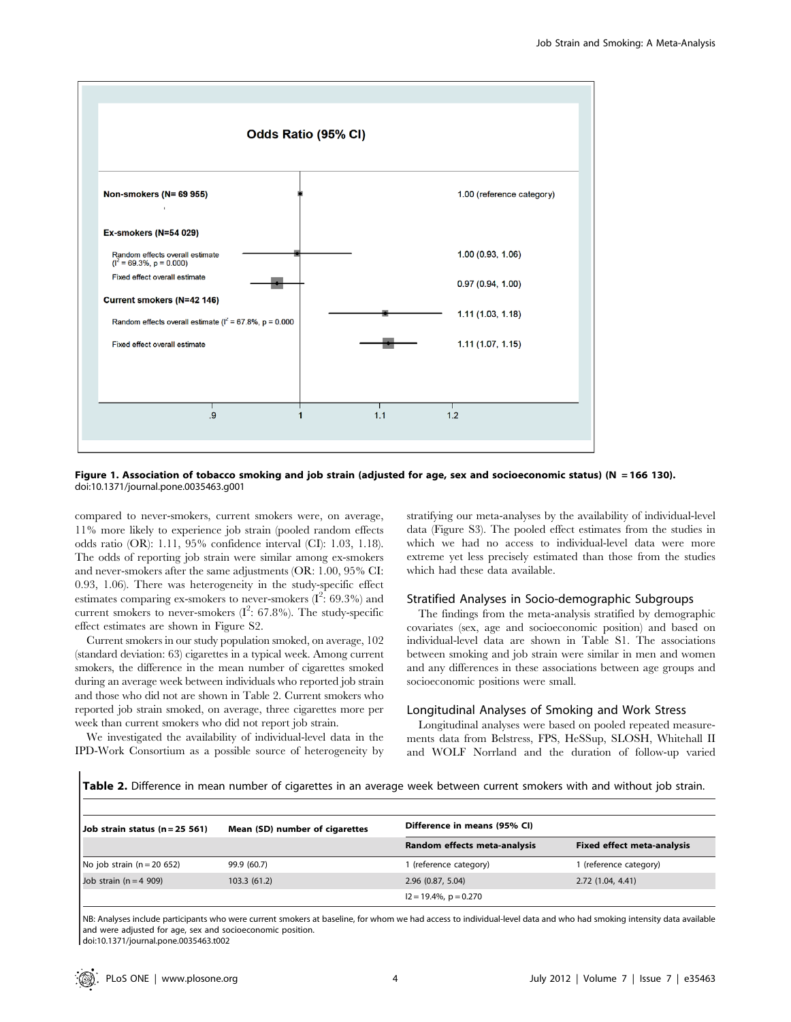

Figure 1. Association of tobacco smoking and job strain (adjusted for age, sex and socioeconomic status) (N = 166 130). doi:10.1371/journal.pone.0035463.g001

compared to never-smokers, current smokers were, on average, 11% more likely to experience job strain (pooled random effects odds ratio (OR): 1.11, 95% confidence interval (CI): 1.03, 1.18). The odds of reporting job strain were similar among ex-smokers and never-smokers after the same adjustments (OR: 1.00, 95% CI: 0.93, 1.06). There was heterogeneity in the study-specific effect estimates comparing ex-smokers to never-smokers  $(I^2: 69.3\%)$  and current smokers to never-smokers  $(I^2: 67.8\%)$ . The study-specific effect estimates are shown in Figure S2.

Current smokers in our study population smoked, on average, 102 (standard deviation: 63) cigarettes in a typical week. Among current smokers, the difference in the mean number of cigarettes smoked during an average week between individuals who reported job strain and those who did not are shown in Table 2. Current smokers who reported job strain smoked, on average, three cigarettes more per week than current smokers who did not report job strain.

We investigated the availability of individual-level data in the IPD-Work Consortium as a possible source of heterogeneity by stratifying our meta-analyses by the availability of individual-level data (Figure S3). The pooled effect estimates from the studies in which we had no access to individual-level data were more extreme yet less precisely estimated than those from the studies which had these data available.

# Stratified Analyses in Socio-demographic Subgroups

The findings from the meta-analysis stratified by demographic covariates (sex, age and socioeconomic position) and based on individual-level data are shown in Table S1. The associations between smoking and job strain were similar in men and women and any differences in these associations between age groups and socioeconomic positions were small.

## Longitudinal Analyses of Smoking and Work Stress

Longitudinal analyses were based on pooled repeated measurements data from Belstress, FPS, HeSSup, SLOSH, Whitehall II and WOLF Norrland and the duration of follow-up varied

Table 2. Difference in mean number of cigarettes in an average week between current smokers with and without job strain.

| Job strain status (n = 25 561) | Mean (SD) number of cigarettes | Difference in means (95% CI) |                                   |  |
|--------------------------------|--------------------------------|------------------------------|-----------------------------------|--|
|                                |                                | Random effects meta-analysis | <b>Fixed effect meta-analysis</b> |  |
| No job strain $(n = 20 652)$   | 99.9 (60.7)                    | l (reference category)       | l (reference category)            |  |
| Job strain $(n=4, 909)$        | 103.3(61.2)                    | 2.96 (0.87, 5.04)            | 2.72(1.04, 4.41)                  |  |
|                                |                                | $12 = 19.4\%$ , $p = 0.270$  |                                   |  |

NB: Analyses include participants who were current smokers at baseline, for whom we had access to individual-level data and who had smoking intensity data available and were adjusted for age, sex and socioeconomic position.

doi:10.1371/journal.pone.0035463.t002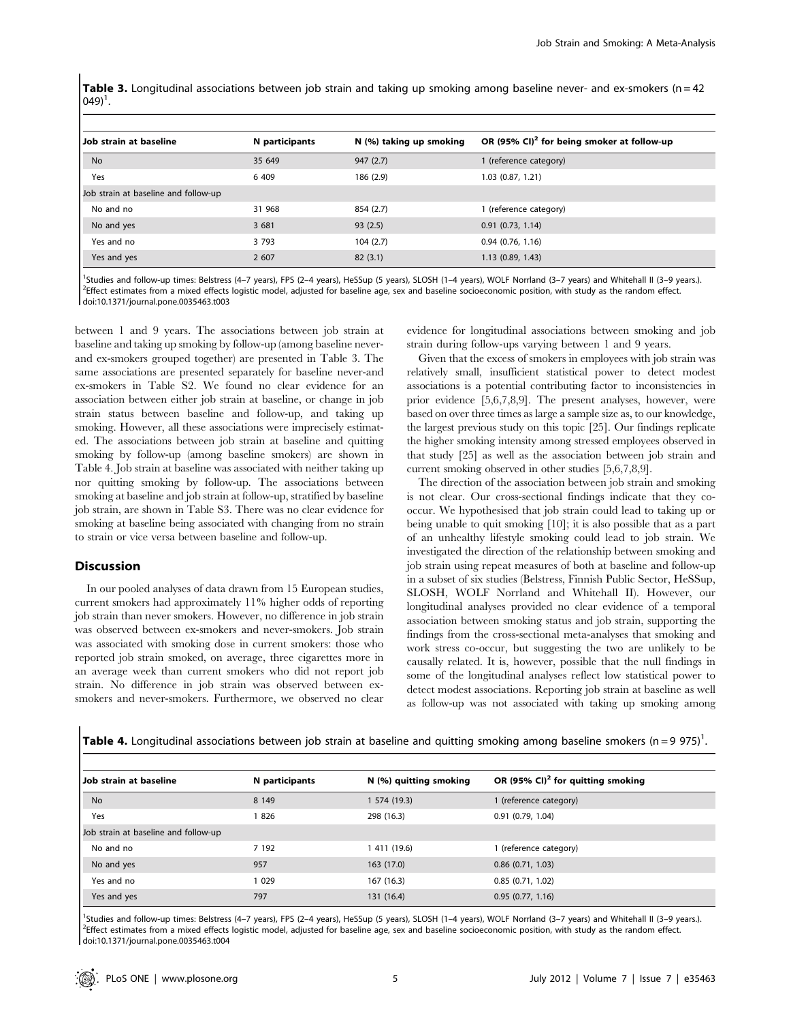Table 3. Longitudinal associations between job strain and taking up smoking among baseline never- and ex-smokers ( $n = 42$ )  $(049)^1$ .

| l Job strain at baseline             | N participants | N (%) taking up smoking | OR (95% CI) <sup>2</sup> for being smoker at follow-up |
|--------------------------------------|----------------|-------------------------|--------------------------------------------------------|
| <b>No</b>                            | 35 649         | 947(2.7)                | (reference category)                                   |
| Yes                                  | 6 409          | 186 (2.9)               | $1.03$ $(0.87, 1.21)$                                  |
| Job strain at baseline and follow-up |                |                         |                                                        |
| No and no                            | 31 968         | 854 (2.7)               | (reference category)                                   |
| No and yes                           | 3 681          | 93(2.5)                 | $0.91$ $(0.73, 1.14)$                                  |
| Yes and no                           | 3 7 9 3        | 104(2.7)                | 0.94(0.76, 1.16)                                       |
| Yes and yes                          | 2 607          | 82(3.1)                 | 1.13(0.89, 1.43)                                       |

<sup>1</sup>Studies and follow-up times: Belstress (4–7 years), FPS (2–4 years), HeSSup (5 years), SLOSH (1–4 years), WOLF Norrland (3–7 years) and Whitehall II (3–9 years.)<br><sup>2</sup>Effect estimates from a mixed effects logistic model, <sup>2</sup>Effect estimates from a mixed effects logistic model, adjusted for baseline age, sex and baseline socioeconomic position, with study as the random effect. doi:10.1371/journal.pone.0035463.t003

between 1 and 9 years. The associations between job strain at baseline and taking up smoking by follow-up (among baseline neverand ex-smokers grouped together) are presented in Table 3. The same associations are presented separately for baseline never-and ex-smokers in Table S2. We found no clear evidence for an association between either job strain at baseline, or change in job strain status between baseline and follow-up, and taking up smoking. However, all these associations were imprecisely estimated. The associations between job strain at baseline and quitting smoking by follow-up (among baseline smokers) are shown in Table 4. Job strain at baseline was associated with neither taking up nor quitting smoking by follow-up. The associations between smoking at baseline and job strain at follow-up, stratified by baseline job strain, are shown in Table S3. There was no clear evidence for smoking at baseline being associated with changing from no strain to strain or vice versa between baseline and follow-up.

# Discussion

 $\mathbf{I}$ 

In our pooled analyses of data drawn from 15 European studies, current smokers had approximately 11% higher odds of reporting job strain than never smokers. However, no difference in job strain was observed between ex-smokers and never-smokers. Job strain was associated with smoking dose in current smokers: those who reported job strain smoked, on average, three cigarettes more in an average week than current smokers who did not report job strain. No difference in job strain was observed between exsmokers and never-smokers. Furthermore, we observed no clear evidence for longitudinal associations between smoking and job strain during follow-ups varying between 1 and 9 years.

Given that the excess of smokers in employees with job strain was relatively small, insufficient statistical power to detect modest associations is a potential contributing factor to inconsistencies in prior evidence [5,6,7,8,9]. The present analyses, however, were based on over three times as large a sample size as, to our knowledge, the largest previous study on this topic [25]. Our findings replicate the higher smoking intensity among stressed employees observed in that study [25] as well as the association between job strain and current smoking observed in other studies [5,6,7,8,9].

The direction of the association between job strain and smoking is not clear. Our cross-sectional findings indicate that they cooccur. We hypothesised that job strain could lead to taking up or being unable to quit smoking [10]; it is also possible that as a part of an unhealthy lifestyle smoking could lead to job strain. We investigated the direction of the relationship between smoking and job strain using repeat measures of both at baseline and follow-up in a subset of six studies (Belstress, Finnish Public Sector, HeSSup, SLOSH, WOLF Norrland and Whitehall II). However, our longitudinal analyses provided no clear evidence of a temporal association between smoking status and job strain, supporting the findings from the cross-sectional meta-analyses that smoking and work stress co-occur, but suggesting the two are unlikely to be causally related. It is, however, possible that the null findings in some of the longitudinal analyses reflect low statistical power to detect modest associations. Reporting job strain at baseline as well as follow-up was not associated with taking up smoking among

|  |  |  |  | <b>Table 4.</b> Longitudinal associations between job strain at baseline and quitting smoking among baseline smokers (n = 9 975) <sup>1</sup> . |  |
|--|--|--|--|-------------------------------------------------------------------------------------------------------------------------------------------------|--|
|  |  |  |  |                                                                                                                                                 |  |

| l Job strain at baseline             | N participants | N (%) quitting smoking | OR (95% CI) <sup>2</sup> for quitting smoking |
|--------------------------------------|----------------|------------------------|-----------------------------------------------|
| <b>No</b>                            | 8 1 4 9        | 1 574 (19.3)           | 1 (reference category)                        |
| Yes                                  | 826            | 298 (16.3)             | 0.91(0.79, 1.04)                              |
| Job strain at baseline and follow-up |                |                        |                                               |
| No and no                            | 7 192          | 1 411 (19.6)           | 1 (reference category)                        |
| No and yes                           | 957            | 163(17.0)              | $0.86$ (0.71, 1.03)                           |
| Yes and no                           | 029            | 167 (16.3)             | 0.85(0.71, 1.02)                              |
| Yes and yes                          | 797            | 131 (16.4)             | 0.95(0.77, 1.16)                              |

<sup>1</sup>Studies and follow-up times: Belstress (4–7 years), FPS (2–4 years), HeSSup (5 years), SLOSH (1–4 years), WOLF Norrland (3–7 years) and Whitehall II (3–9 years.). <sup>2</sup>Effect extimates from a mixed offect logitic product <sup>2</sup>Effect estimates from a mixed effects logistic model, adjusted for baseline age, sex and baseline socioeconomic position, with study as the random effect. doi:10.1371/journal.pone.0035463.t004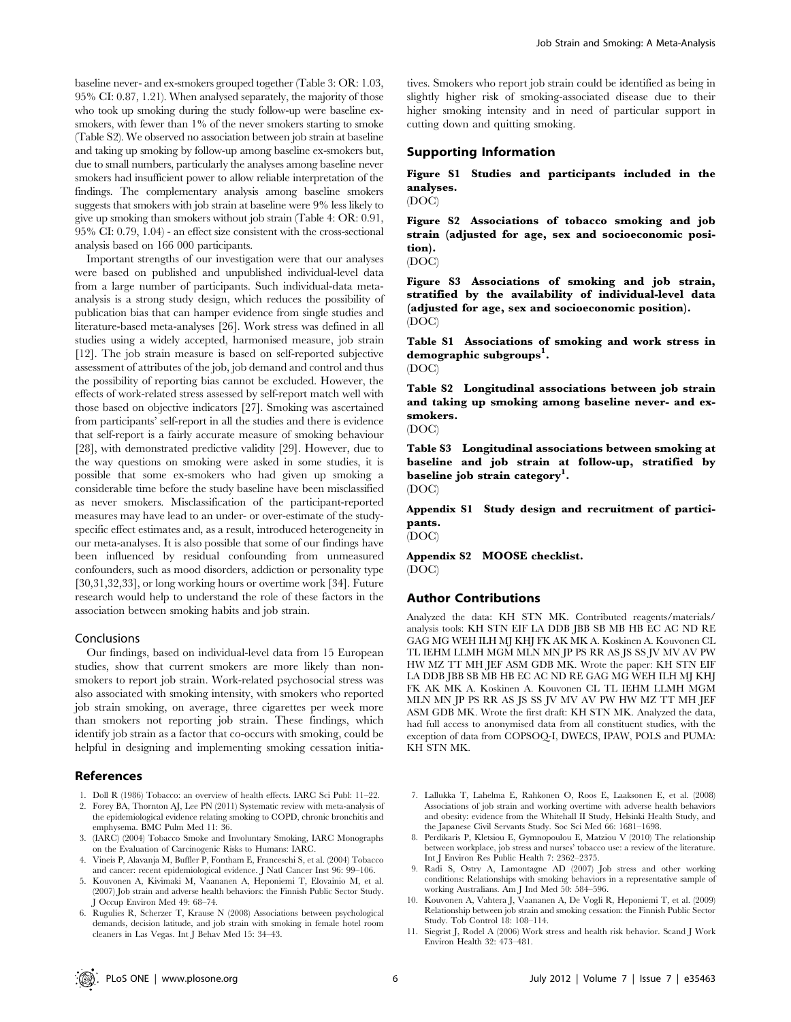baseline never- and ex-smokers grouped together (Table 3: OR: 1.03, 95% CI: 0.87, 1.21). When analysed separately, the majority of those who took up smoking during the study follow-up were baseline exsmokers, with fewer than 1% of the never smokers starting to smoke (Table S2). We observed no association between job strain at baseline and taking up smoking by follow-up among baseline ex-smokers but, due to small numbers, particularly the analyses among baseline never smokers had insufficient power to allow reliable interpretation of the findings. The complementary analysis among baseline smokers suggests that smokers with job strain at baseline were 9% less likely to give up smoking than smokers without job strain (Table 4: OR: 0.91, 95% CI: 0.79, 1.04) - an effect size consistent with the cross-sectional analysis based on 166 000 participants.

Important strengths of our investigation were that our analyses were based on published and unpublished individual-level data from a large number of participants. Such individual-data metaanalysis is a strong study design, which reduces the possibility of publication bias that can hamper evidence from single studies and literature-based meta-analyses [26]. Work stress was defined in all studies using a widely accepted, harmonised measure, job strain [12]. The job strain measure is based on self-reported subjective assessment of attributes of the job, job demand and control and thus the possibility of reporting bias cannot be excluded. However, the effects of work-related stress assessed by self-report match well with those based on objective indicators [27]. Smoking was ascertained from participants' self-report in all the studies and there is evidence that self-report is a fairly accurate measure of smoking behaviour [28], with demonstrated predictive validity [29]. However, due to the way questions on smoking were asked in some studies, it is possible that some ex-smokers who had given up smoking a considerable time before the study baseline have been misclassified as never smokers. Misclassification of the participant-reported measures may have lead to an under- or over-estimate of the studyspecific effect estimates and, as a result, introduced heterogeneity in our meta-analyses. It is also possible that some of our findings have been influenced by residual confounding from unmeasured confounders, such as mood disorders, addiction or personality type [30,31,32,33], or long working hours or overtime work [34]. Future research would help to understand the role of these factors in the association between smoking habits and job strain.

### Conclusions

Our findings, based on individual-level data from 15 European studies, show that current smokers are more likely than nonsmokers to report job strain. Work-related psychosocial stress was also associated with smoking intensity, with smokers who reported job strain smoking, on average, three cigarettes per week more than smokers not reporting job strain. These findings, which identify job strain as a factor that co-occurs with smoking, could be helpful in designing and implementing smoking cessation initia-

## References

- 1. Doll R (1986) Tobacco: an overview of health effects. IARC Sci Publ: 11–22.
- 2. Forey BA, Thornton AJ, Lee PN (2011) Systematic review with meta-analysis of the epidemiological evidence relating smoking to COPD, chronic bronchitis and emphysema. BMC Pulm Med 11: 36.
- 3. (IARC) (2004) Tobacco Smoke and Involuntary Smoking, IARC Monographs on the Evaluation of Carcinogenic Risks to Humans: IARC.
- 4. Vineis P, Alavanja M, Buffler P, Fontham E, Franceschi S, et al. (2004) Tobacco and cancer: recent epidemiological evidence. J Natl Cancer Inst 96: 99–106.
- 5. Kouvonen A, Kivimaki M, Vaananen A, Heponiemi T, Elovainio M, et al. (2007) Job strain and adverse health behaviors: the Finnish Public Sector Study. J Occup Environ Med 49: 68–74.
- 6. Rugulies R, Scherzer T, Krause N (2008) Associations between psychological demands, decision latitude, and job strain with smoking in female hotel room cleaners in Las Vegas. Int J Behav Med 15: 34–43.

tives. Smokers who report job strain could be identified as being in slightly higher risk of smoking-associated disease due to their higher smoking intensity and in need of particular support in cutting down and quitting smoking.

# Supporting Information

Figure S1 Studies and participants included in the analyses.

(DOC)

Figure S2 Associations of tobacco smoking and job strain (adjusted for age, sex and socioeconomic position).

(DOC)

Figure S3 Associations of smoking and job strain, stratified by the availability of individual-level data (adjusted for age, sex and socioeconomic position). (DOC)

Table S1 Associations of smoking and work stress in demographic subgroups<sup>1</sup>.

(DOC)

Table S2 Longitudinal associations between job strain and taking up smoking among baseline never- and exsmokers.

(DOC)

Table S3 Longitudinal associations between smoking at baseline and job strain at follow-up, stratified by baseline job strain category<sup>1</sup>. (DOC)

Appendix S1 Study design and recruitment of participants.

(DOC)

Appendix S2 MOOSE checklist. (DOC)

#### Author Contributions

Analyzed the data: KH STN MK. Contributed reagents/materials/ analysis tools: KH STN EIF LA DDB JBB SB MB HB EC AC ND RE GAG MG WEH ILH MJ KHJ FK AK MK A. Koskinen A. Kouvonen CL TL IEHM LLMH MGM MLN MN JP PS RR AS JS SS JV MV AV PW HW MZ TT MH JEF ASM GDB MK. Wrote the paper: KH STN EIF LA DDB JBB SB MB HB EC AC ND RE GAG MG WEH ILH MJ KHJ FK AK MK A. Koskinen A. Kouvonen CL TL IEHM LLMH MGM MLN MN JP PS RR AS JS SS JV MV AV PW HW MZ TT MH JEF ASM GDB MK. Wrote the first draft: KH STN MK. Analyzed the data, had full access to anonymised data from all constituent studies, with the exception of data from COPSOQ-I, DWECS, IPAW, POLS and PUMA: KH STN MK.

- 7. Lallukka T, Lahelma E, Rahkonen O, Roos E, Laaksonen E, et al. (2008) Associations of job strain and working overtime with adverse health behaviors and obesity: evidence from the Whitehall II Study, Helsinki Health Study, and the Japanese Civil Servants Study. Soc Sci Med 66: 1681–1698.
- 8. Perdikaris P, Kletsiou E, Gymnopoulou E, Matziou V (2010) The relationship between workplace, job stress and nurses' tobacco use: a review of the literature. Int J Environ Res Public Health 7: 2362–2375.
- 9. Radi S, Ostry A, Lamontagne AD (2007) Job stress and other working conditions: Relationships with smoking behaviors in a representative sample of working Australians. Am J Ind Med 50: 584–596.
- 10. Kouvonen A, Vahtera J, Vaananen A, De Vogli R, Heponiemi T, et al. (2009) Relationship between job strain and smoking cessation: the Finnish Public Sector Study. Tob Control 18: 108–114.
- 11. Siegrist J, Rodel A (2006) Work stress and health risk behavior. Scand J Work Environ Health 32: 473–481.